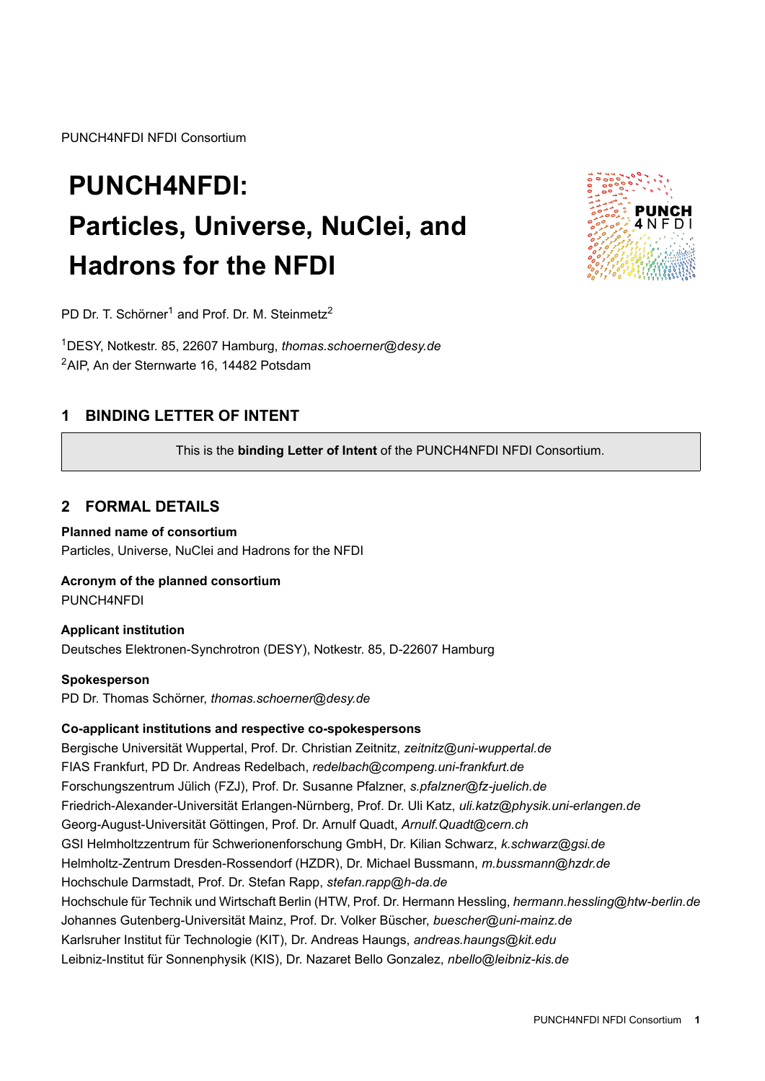PUNCH4NFDI NFDI Consortium

# **PUNCH4NFDI: Particles, Universe, NuClei, and Hadrons for the NFDI**



PD Dr. T. Schörner<sup>1</sup> and Prof. Dr. M. Steinmetz<sup>2</sup>

<sup>1</sup>DESY, Notkestr. 85, 22607 Hamburg, *thomas.schoerner@desy.de* <sup>2</sup>AIP, An der Sternwarte 16, 14482 Potsdam

# **1 BINDING LETTER OF INTENT**

This is the **binding Letter of Intent** of the PUNCH4NFDI NFDI Consortium.

# **2 FORMAL DETAILS**

### **Planned name of consortium**

Particles, Universe, NuClei and Hadrons for the NFDI

## **Acronym of the planned consortium**

PUNCH4NFDI

## **Applicant institution**

Deutsches Elektronen-Synchrotron (DESY), Notkestr. 85, D-22607 Hamburg

#### **Spokesperson**

PD Dr. Thomas Schörner, *thomas.schoerner@desy.de*

## **Co-applicant institutions and respective co-spokespersons**

Bergische Universität Wuppertal, Prof. Dr. Christian Zeitnitz, *zeitnitz@uni-wuppertal.de* FIAS Frankfurt, PD Dr. Andreas Redelbach, *redelbach@compeng.uni-frankfurt.de* Forschungszentrum Jülich (FZJ), Prof. Dr. Susanne Pfalzner, *s.pfalzner@fz-juelich.de* Friedrich-Alexander-Universität Erlangen-Nürnberg, Prof. Dr. Uli Katz, *uli.katz@physik.uni-erlangen.de* Georg-August-Universität Göttingen, Prof. Dr. Arnulf Quadt, *Arnulf.Quadt@cern.ch* GSI Helmholtzzentrum für Schwerionenforschung GmbH, Dr. Kilian Schwarz, *k.schwarz@gsi.de* Helmholtz-Zentrum Dresden-Rossendorf (HZDR), Dr. Michael Bussmann, *m.bussmann@hzdr.de* Hochschule Darmstadt, Prof. Dr. Stefan Rapp, *stefan.rapp@h-da.de* Hochschule für Technik und Wirtschaft Berlin (HTW, Prof. Dr. Hermann Hessling, *hermann.hessling@htw-berlin.de* Johannes Gutenberg-Universität Mainz, Prof. Dr. Volker Büscher, *buescher@uni-mainz.de* Karlsruher Institut für Technologie (KIT), Dr. Andreas Haungs, *andreas.haungs@kit.edu* Leibniz-Institut für Sonnenphysik (KIS), Dr. Nazaret Bello Gonzalez, *nbello@leibniz-kis.de*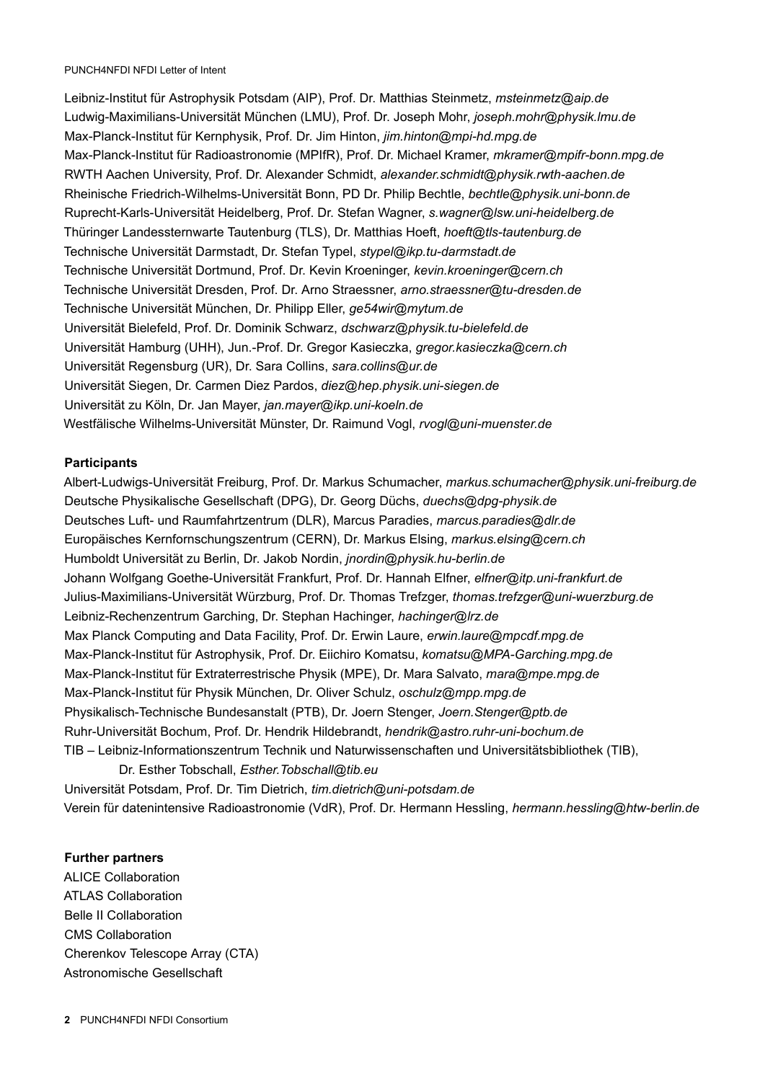Leibniz-Institut für Astrophysik Potsdam (AIP), Prof. Dr. Matthias Steinmetz, *msteinmetz@aip.de* Ludwig-Maximilians-Universität München (LMU), Prof. Dr. Joseph Mohr, *joseph.mohr@physik.lmu.de* Max-Planck-Institut für Kernphysik, Prof. Dr. Jim Hinton, *jim.hinton@mpi-hd.mpg.de* Max-Planck-Institut für Radioastronomie (MPIfR), Prof. Dr. Michael Kramer, *mkramer@mpifr-bonn.mpg.de* RWTH Aachen University, Prof. Dr. Alexander Schmidt, *alexander.schmidt@physik.rwth-aachen.de* Rheinische Friedrich-Wilhelms-Universität Bonn, PD Dr. Philip Bechtle, *bechtle@physik.uni-bonn.de* Ruprecht-Karls-Universität Heidelberg, Prof. Dr. Stefan Wagner, *s.wagner@lsw.uni-heidelberg.de* Thüringer Landessternwarte Tautenburg (TLS), Dr. Matthias Hoeft, *hoeft@tls-tautenburg.de* Technische Universität Darmstadt, Dr. Stefan Typel, *stypel@ikp.tu-darmstadt.de* Technische Universität Dortmund, Prof. Dr. Kevin Kroeninger, *kevin.kroeninger@cern.ch* Technische Universität Dresden, Prof. Dr. Arno Straessner, *arno.straessner@tu-dresden.de* Technische Universität München, Dr. Philipp Eller, *ge54wir@mytum.de* Universität Bielefeld, Prof. Dr. Dominik Schwarz, *dschwarz@physik.tu-bielefeld.de* Universität Hamburg (UHH), Jun.-Prof. Dr. Gregor Kasieczka, *gregor.kasieczka@cern.ch* Universität Regensburg (UR), Dr. Sara Collins, *sara.collins@ur.de* Universität Siegen, Dr. Carmen Diez Pardos, *diez@hep.physik.uni-siegen.de* Universität zu Köln, Dr. Jan Mayer, *jan.mayer@ikp.uni-koeln.de* Westfälische Wilhelms-Universität Münster, Dr. Raimund Vogl, *rvogl@uni-muenster.de*

#### **Participants**

Albert-Ludwigs-Universität Freiburg, Prof. Dr. Markus Schumacher, *markus.schumacher@physik.uni-freiburg.de* Deutsche Physikalische Gesellschaft (DPG), Dr. Georg Düchs, *duechs@dpg-physik.de* Deutsches Luft- und Raumfahrtzentrum (DLR), Marcus Paradies, *marcus.paradies@dlr.de* Europäisches Kernfornschungszentrum (CERN), Dr. Markus Elsing, *markus.elsing@cern.ch* Humboldt Universität zu Berlin, Dr. Jakob Nordin, *jnordin@physik.hu-berlin.de* Johann Wolfgang Goethe-Universität Frankfurt, Prof. Dr. Hannah Elfner, *elfner@itp.uni-frankfurt.de* Julius-Maximilians-Universität Würzburg, Prof. Dr. Thomas Trefzger, *thomas.trefzger@uni-wuerzburg.de* Leibniz-Rechenzentrum Garching, Dr. Stephan Hachinger, *hachinger@lrz.de* Max Planck Computing and Data Facility, Prof. Dr. Erwin Laure, *erwin.laure@mpcdf.mpg.de* Max-Planck-Institut für Astrophysik, Prof. Dr. Eiichiro Komatsu, *komatsu@MPA-Garching.mpg.de* Max-Planck-Institut für Extraterrestrische Physik (MPE), Dr. Mara Salvato, *mara@mpe.mpg.de* Max-Planck-Institut für Physik München, Dr. Oliver Schulz, *oschulz@mpp.mpg.de* Physikalisch-Technische Bundesanstalt (PTB), Dr. Joern Stenger, *Joern.Stenger@ptb.de* Ruhr-Universität Bochum, Prof. Dr. Hendrik Hildebrandt, *hendrik@astro.ruhr-uni-bochum.de* TIB – Leibniz-Informationszentrum Technik und Naturwissenschaften und Universitätsbibliothek (TIB), Dr. Esther Tobschall, *Esther.Tobschall@tib.eu* Universität Potsdam, Prof. Dr. Tim Dietrich, *tim.dietrich@uni-potsdam.de* Verein für datenintensive Radioastronomie (VdR), Prof. Dr. Hermann Hessling, *hermann.hessling@htw-berlin.de*

#### **Further partners**

ALICE Collaboration ATLAS Collaboration Belle II Collaboration CMS Collaboration Cherenkov Telescope Array (CTA) Astronomische Gesellschaft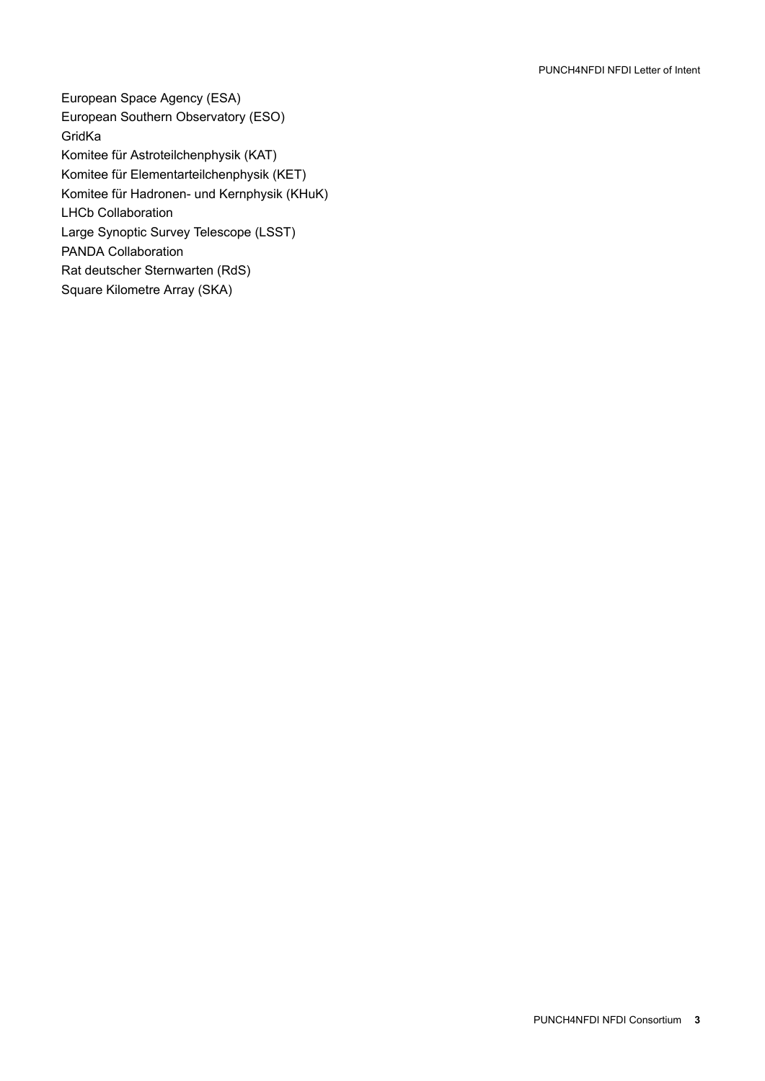European Space Agency (ESA) European Southern Observatory (ESO) GridKa Komitee für Astroteilchenphysik (KAT) Komitee für Elementarteilchenphysik (KET) Komitee für Hadronen- und Kernphysik (KHuK) LHCb Collaboration Large Synoptic Survey Telescope (LSST) PANDA Collaboration Rat deutscher Sternwarten (RdS) Square Kilometre Array (SKA)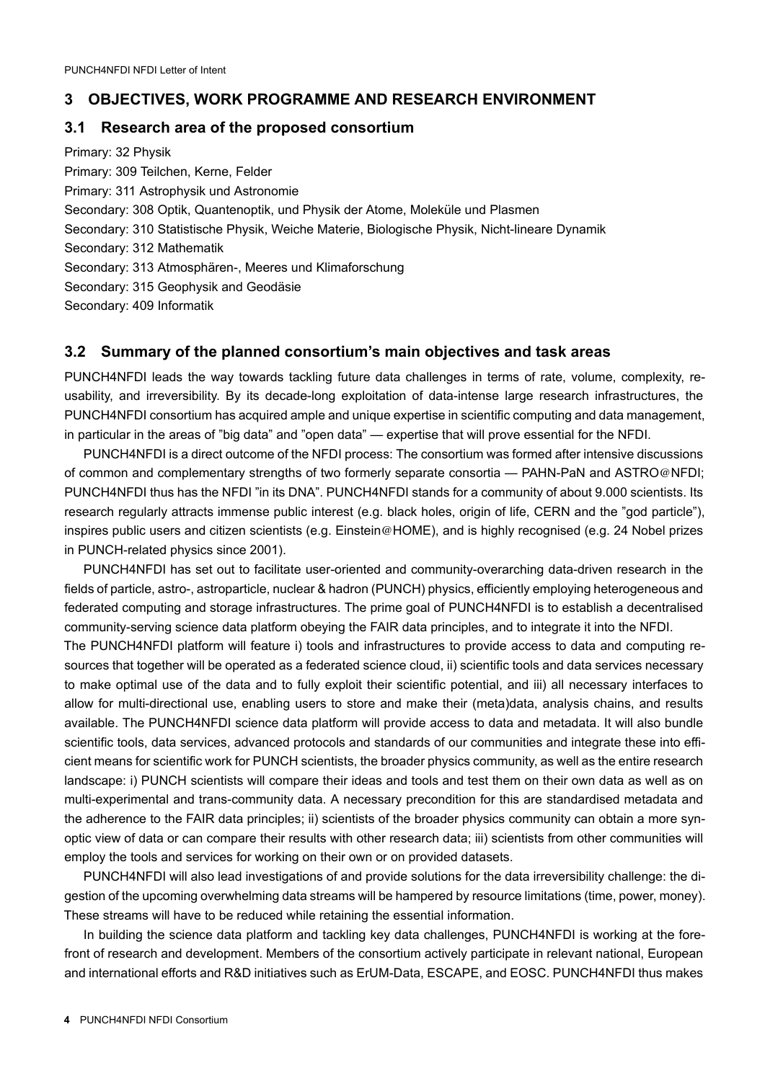## **3 OBJECTIVES, WORK PROGRAMME AND RESEARCH ENVIRONMENT**

## **3.1 Research area of the proposed consortium**

Primary: 32 Physik Primary: 309 Teilchen, Kerne, Felder Primary: 311 Astrophysik und Astronomie Secondary: 308 Optik, Quantenoptik, und Physik der Atome, Moleküle und Plasmen Secondary: 310 Statistische Physik, Weiche Materie, Biologische Physik, Nicht-lineare Dynamik Secondary: 312 Mathematik Secondary: 313 Atmosphären-, Meeres und Klimaforschung Secondary: 315 Geophysik and Geodäsie Secondary: 409 Informatik

## **3.2 Summary of the planned consortium's main objectives and task areas**

PUNCH4NFDI leads the way towards tackling future data challenges in terms of rate, volume, complexity, reusability, and irreversibility. By its decade-long exploitation of data-intense large research infrastructures, the PUNCH4NFDI consortium has acquired ample and unique expertise in scientific computing and data management, in particular in the areas of "big data" and "open data" — expertise that will prove essential for the NFDI.

PUNCH4NFDI is a direct outcome of the NFDI process: The consortium was formed after intensive discussions of common and complementary strengths of two formerly separate consortia — PAHN-PaN and ASTRO@NFDI; PUNCH4NFDI thus has the NFDI "in its DNA". PUNCH4NFDI stands for a community of about 9.000 scientists. Its research regularly attracts immense public interest (e.g. black holes, origin of life, CERN and the "god particle"), inspires public users and citizen scientists (e.g. Einstein@HOME), and is highly recognised (e.g. 24 Nobel prizes in PUNCH-related physics since 2001).

PUNCH4NFDI has set out to facilitate user-oriented and community-overarching data-driven research in the fields of particle, astro-, astroparticle, nuclear & hadron (PUNCH) physics, efficiently employing heterogeneous and federated computing and storage infrastructures. The prime goal of PUNCH4NFDI is to establish a decentralised community-serving science data platform obeying the FAIR data principles, and to integrate it into the NFDI.

The PUNCH4NFDI platform will feature i) tools and infrastructures to provide access to data and computing resources that together will be operated as a federated science cloud, ii) scientific tools and data services necessary to make optimal use of the data and to fully exploit their scientific potential, and iii) all necessary interfaces to allow for multi-directional use, enabling users to store and make their (meta)data, analysis chains, and results available. The PUNCH4NFDI science data platform will provide access to data and metadata. It will also bundle scientific tools, data services, advanced protocols and standards of our communities and integrate these into efficient means for scientific work for PUNCH scientists, the broader physics community, as well as the entire research landscape: i) PUNCH scientists will compare their ideas and tools and test them on their own data as well as on multi-experimental and trans-community data. A necessary precondition for this are standardised metadata and the adherence to the FAIR data principles; ii) scientists of the broader physics community can obtain a more synoptic view of data or can compare their results with other research data; iii) scientists from other communities will employ the tools and services for working on their own or on provided datasets.

PUNCH4NFDI will also lead investigations of and provide solutions for the data irreversibility challenge: the digestion of the upcoming overwhelming data streams will be hampered by resource limitations (time, power, money). These streams will have to be reduced while retaining the essential information.

In building the science data platform and tackling key data challenges, PUNCH4NFDI is working at the forefront of research and development. Members of the consortium actively participate in relevant national, European and international efforts and R&D initiatives such as ErUM-Data, ESCAPE, and EOSC. PUNCH4NFDI thus makes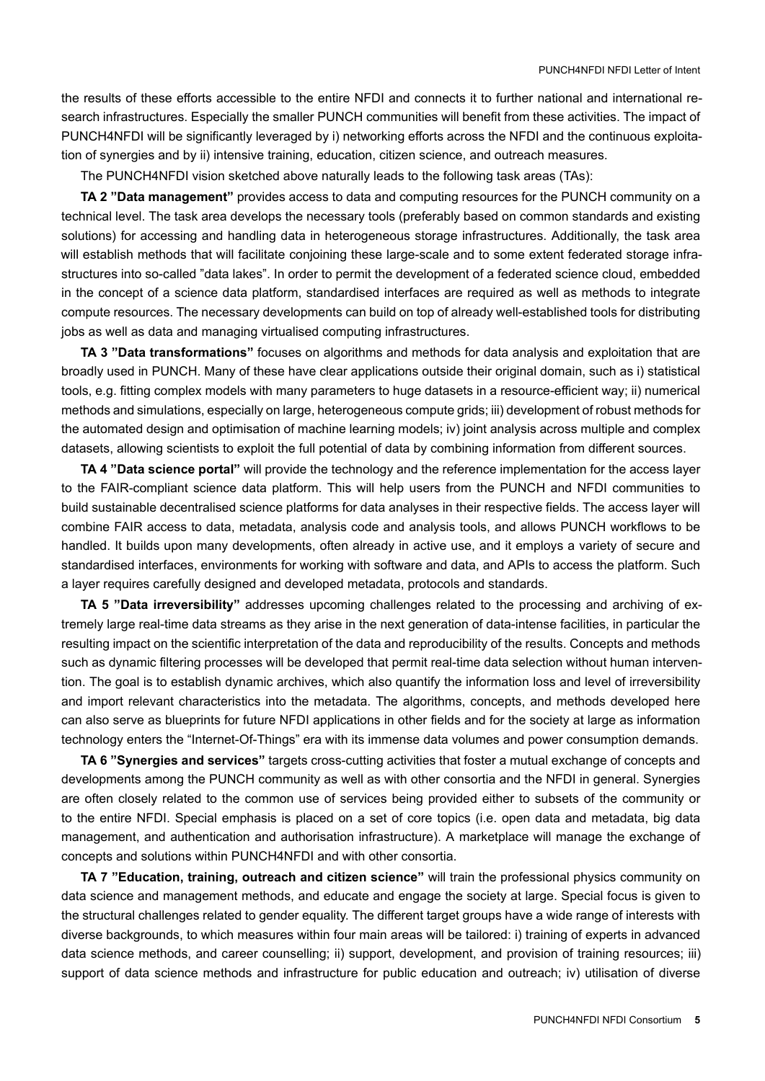the results of these efforts accessible to the entire NFDI and connects it to further national and international research infrastructures. Especially the smaller PUNCH communities will benefit from these activities. The impact of PUNCH4NFDI will be significantly leveraged by i) networking efforts across the NFDI and the continuous exploitation of synergies and by ii) intensive training, education, citizen science, and outreach measures.

The PUNCH4NFDI vision sketched above naturally leads to the following task areas (TAs):

**TA 2 "Data management"** provides access to data and computing resources for the PUNCH community on a technical level. The task area develops the necessary tools (preferably based on common standards and existing solutions) for accessing and handling data in heterogeneous storage infrastructures. Additionally, the task area will establish methods that will facilitate conjoining these large-scale and to some extent federated storage infrastructures into so-called "data lakes". In order to permit the development of a federated science cloud, embedded in the concept of a science data platform, standardised interfaces are required as well as methods to integrate compute resources. The necessary developments can build on top of already well-established tools for distributing jobs as well as data and managing virtualised computing infrastructures.

**TA 3 "Data transformations"** focuses on algorithms and methods for data analysis and exploitation that are broadly used in PUNCH. Many of these have clear applications outside their original domain, such as i) statistical tools, e.g. fitting complex models with many parameters to huge datasets in a resource-efficient way; ii) numerical methods and simulations, especially on large, heterogeneous compute grids; iii) development of robust methods for the automated design and optimisation of machine learning models; iv) joint analysis across multiple and complex datasets, allowing scientists to exploit the full potential of data by combining information from different sources.

**TA 4 "Data science portal"** will provide the technology and the reference implementation for the access layer to the FAIR-compliant science data platform. This will help users from the PUNCH and NFDI communities to build sustainable decentralised science platforms for data analyses in their respective fields. The access layer will combine FAIR access to data, metadata, analysis code and analysis tools, and allows PUNCH workflows to be handled. It builds upon many developments, often already in active use, and it employs a variety of secure and standardised interfaces, environments for working with software and data, and APIs to access the platform. Such a layer requires carefully designed and developed metadata, protocols and standards.

**TA 5 "Data irreversibility"** addresses upcoming challenges related to the processing and archiving of extremely large real-time data streams as they arise in the next generation of data-intense facilities, in particular the resulting impact on the scientific interpretation of the data and reproducibility of the results. Concepts and methods such as dynamic filtering processes will be developed that permit real-time data selection without human intervention. The goal is to establish dynamic archives, which also quantify the information loss and level of irreversibility and import relevant characteristics into the metadata. The algorithms, concepts, and methods developed here can also serve as blueprints for future NFDI applications in other fields and for the society at large as information technology enters the "Internet-Of-Things" era with its immense data volumes and power consumption demands.

**TA 6 "Synergies and services"** targets cross-cutting activities that foster a mutual exchange of concepts and developments among the PUNCH community as well as with other consortia and the NFDI in general. Synergies are often closely related to the common use of services being provided either to subsets of the community or to the entire NFDI. Special emphasis is placed on a set of core topics (i.e. open data and metadata, big data management, and authentication and authorisation infrastructure). A marketplace will manage the exchange of concepts and solutions within PUNCH4NFDI and with other consortia.

**TA 7 "Education, training, outreach and citizen science"** will train the professional physics community on data science and management methods, and educate and engage the society at large. Special focus is given to the structural challenges related to gender equality. The different target groups have a wide range of interests with diverse backgrounds, to which measures within four main areas will be tailored: i) training of experts in advanced data science methods, and career counselling; ii) support, development, and provision of training resources; iii) support of data science methods and infrastructure for public education and outreach; iv) utilisation of diverse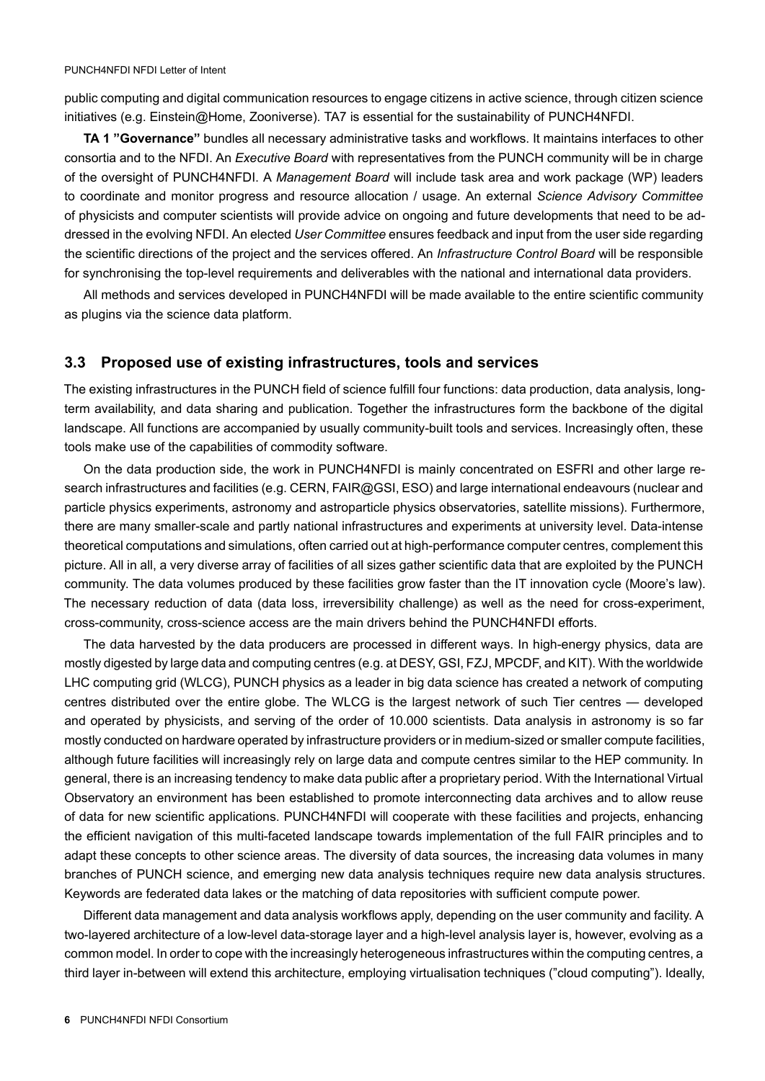public computing and digital communication resources to engage citizens in active science, through citizen science initiatives (e.g. Einstein@Home, Zooniverse). TA7 is essential for the sustainability of PUNCH4NFDI.

**TA 1 "Governance"** bundles all necessary administrative tasks and workflows. It maintains interfaces to other consortia and to the NFDI. An *Executive Board* with representatives from the PUNCH community will be in charge of the oversight of PUNCH4NFDI. A *Management Board* will include task area and work package (WP) leaders to coordinate and monitor progress and resource allocation / usage. An external *Science Advisory Committee* of physicists and computer scientists will provide advice on ongoing and future developments that need to be addressed in the evolving NFDI. An elected *User Committee* ensures feedback and input from the user side regarding the scientific directions of the project and the services offered. An *Infrastructure Control Board* will be responsible for synchronising the top-level requirements and deliverables with the national and international data providers.

All methods and services developed in PUNCH4NFDI will be made available to the entire scientific community as plugins via the science data platform.

## **3.3 Proposed use of existing infrastructures, tools and services**

The existing infrastructures in the PUNCH field of science fulfill four functions: data production, data analysis, longterm availability, and data sharing and publication. Together the infrastructures form the backbone of the digital landscape. All functions are accompanied by usually community-built tools and services. Increasingly often, these tools make use of the capabilities of commodity software.

On the data production side, the work in PUNCH4NFDI is mainly concentrated on ESFRI and other large research infrastructures and facilities (e.g. CERN, FAIR@GSI, ESO) and large international endeavours (nuclear and particle physics experiments, astronomy and astroparticle physics observatories, satellite missions). Furthermore, there are many smaller-scale and partly national infrastructures and experiments at university level. Data-intense theoretical computations and simulations, often carried out at high-performance computer centres, complement this picture. All in all, a very diverse array of facilities of all sizes gather scientific data that are exploited by the PUNCH community. The data volumes produced by these facilities grow faster than the IT innovation cycle (Moore's law). The necessary reduction of data (data loss, irreversibility challenge) as well as the need for cross-experiment, cross-community, cross-science access are the main drivers behind the PUNCH4NFDI efforts.

The data harvested by the data producers are processed in different ways. In high-energy physics, data are mostly digested by large data and computing centres (e.g. at DESY, GSI, FZJ, MPCDF, and KIT). With the worldwide LHC computing grid (WLCG), PUNCH physics as a leader in big data science has created a network of computing centres distributed over the entire globe. The WLCG is the largest network of such Tier centres — developed and operated by physicists, and serving of the order of 10.000 scientists. Data analysis in astronomy is so far mostly conducted on hardware operated by infrastructure providers or in medium-sized or smaller compute facilities, although future facilities will increasingly rely on large data and compute centres similar to the HEP community. In general, there is an increasing tendency to make data public after a proprietary period. With the International Virtual Observatory an environment has been established to promote interconnecting data archives and to allow reuse of data for new scientific applications. PUNCH4NFDI will cooperate with these facilities and projects, enhancing the efficient navigation of this multi-faceted landscape towards implementation of the full FAIR principles and to adapt these concepts to other science areas. The diversity of data sources, the increasing data volumes in many branches of PUNCH science, and emerging new data analysis techniques require new data analysis structures. Keywords are federated data lakes or the matching of data repositories with sufficient compute power.

Different data management and data analysis workflows apply, depending on the user community and facility. A two-layered architecture of a low-level data-storage layer and a high-level analysis layer is, however, evolving as a common model. In order to cope with the increasingly heterogeneous infrastructures within the computing centres, a third layer in-between will extend this architecture, employing virtualisation techniques ("cloud computing"). Ideally,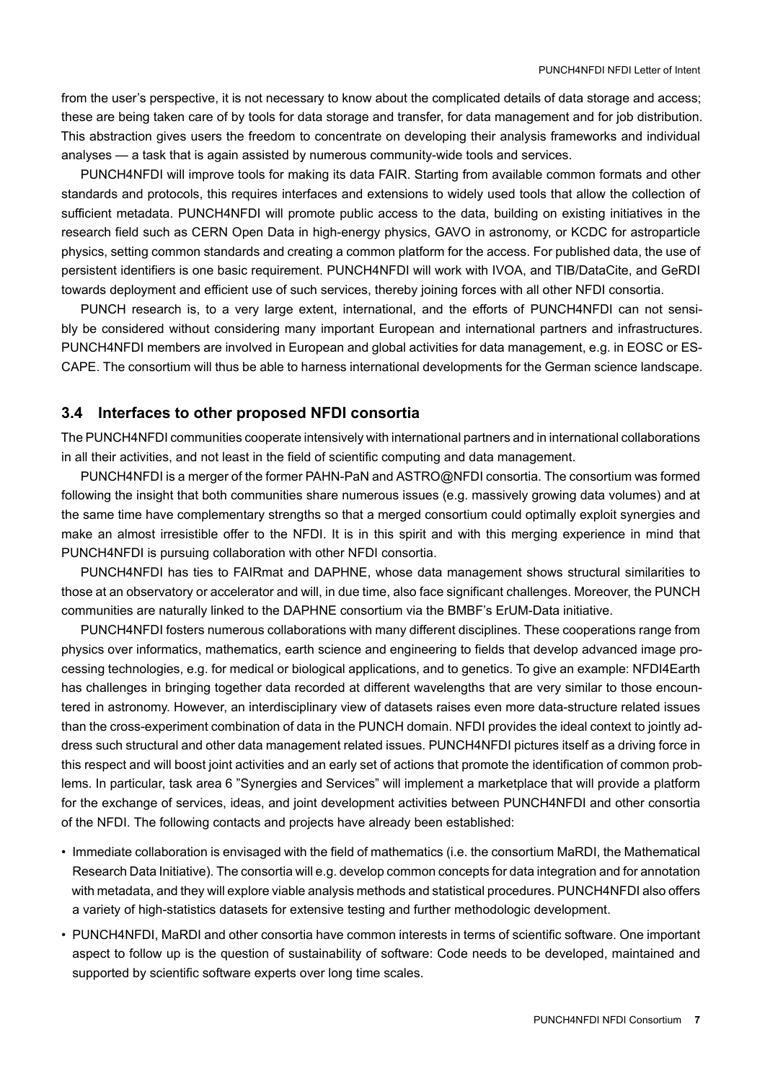from the user's perspective, it is not necessary to know about the complicated details of data storage and access; these are being taken care of by tools for data storage and transfer, for data management and for job distribution. This abstraction gives users the freedom to concentrate on developing their analysis frameworks and individual analyses — a task that is again assisted by numerous community-wide tools and services.

PUNCH4NFDI will improve tools for making its data FAIR. Starting from available common formats and other standards and protocols, this requires interfaces and extensions to widely used tools that allow the collection of sufficient metadata. PUNCH4NFDI will promote public access to the data, building on existing initiatives in the research field such as CERN Open Data in high-energy physics, GAVO in astronomy, or KCDC for astroparticle physics, setting common standards and creating a common platform for the access. For published data, the use of persistent identifiers is one basic requirement. PUNCH4NFDI will work with IVOA, and TIB/DataCite, and GeRDI towards deployment and efficient use of such services, thereby joining forces with all other NFDI consortia.

PUNCH research is, to a very large extent, international, and the efforts of PUNCH4NFDI can not sensibly be considered without considering many important European and international partners and infrastructures. PUNCH4NFDI members are involved in European and global activities for data management, e.g. in EOSC or ES-CAPE. The consortium will thus be able to harness international developments for the German science landscape.

#### **3.4 Interfaces to other proposed NFDI consortia**

The PUNCH4NFDI communities cooperate intensively with international partners and in international collaborations in all their activities, and not least in the field of scientific computing and data management.

PUNCH4NFDI is a merger of the former PAHN-PaN and ASTRO@NFDI consortia. The consortium was formed following the insight that both communities share numerous issues (e.g. massively growing data volumes) and at the same time have complementary strengths so that a merged consortium could optimally exploit synergies and make an almost irresistible offer to the NFDI. It is in this spirit and with this merging experience in mind that PUNCH4NFDI is pursuing collaboration with other NFDI consortia.

PUNCH4NFDI has ties to FAIRmat and DAPHNE, whose data management shows structural similarities to those at an observatory or accelerator and will, in due time, also face significant challenges. Moreover, the PUNCH communities are naturally linked to the DAPHNE consortium via the BMBF's ErUM-Data initiative.

PUNCH4NFDI fosters numerous collaborations with many different disciplines. These cooperations range from physics over informatics, mathematics, earth science and engineering to fields that develop advanced image processing technologies, e.g. for medical or biological applications, and to genetics. To give an example: NFDI4Earth has challenges in bringing together data recorded at different wavelengths that are very similar to those encountered in astronomy. However, an interdisciplinary view of datasets raises even more data-structure related issues than the cross-experiment combination of data in the PUNCH domain. NFDI provides the ideal context to jointly address such structural and other data management related issues. PUNCH4NFDI pictures itself as a driving force in this respect and will boost joint activities and an early set of actions that promote the identification of common problems. In particular, task area 6 "Synergies and Services" will implement a marketplace that will provide a platform for the exchange of services, ideas, and joint development activities between PUNCH4NFDI and other consortia of the NFDI. The following contacts and projects have already been established:

- Immediate collaboration is envisaged with the field of mathematics (i.e. the consortium MaRDI, the Mathematical Research Data Initiative). The consortia will e.g. develop common concepts for data integration and for annotation with metadata, and they will explore viable analysis methods and statistical procedures. PUNCH4NFDI also offers a variety of high-statistics datasets for extensive testing and further methodologic development.
- PUNCH4NFDI, MaRDI and other consortia have common interests in terms of scientific software. One important aspect to follow up is the question of sustainability of software: Code needs to be developed, maintained and supported by scientific software experts over long time scales.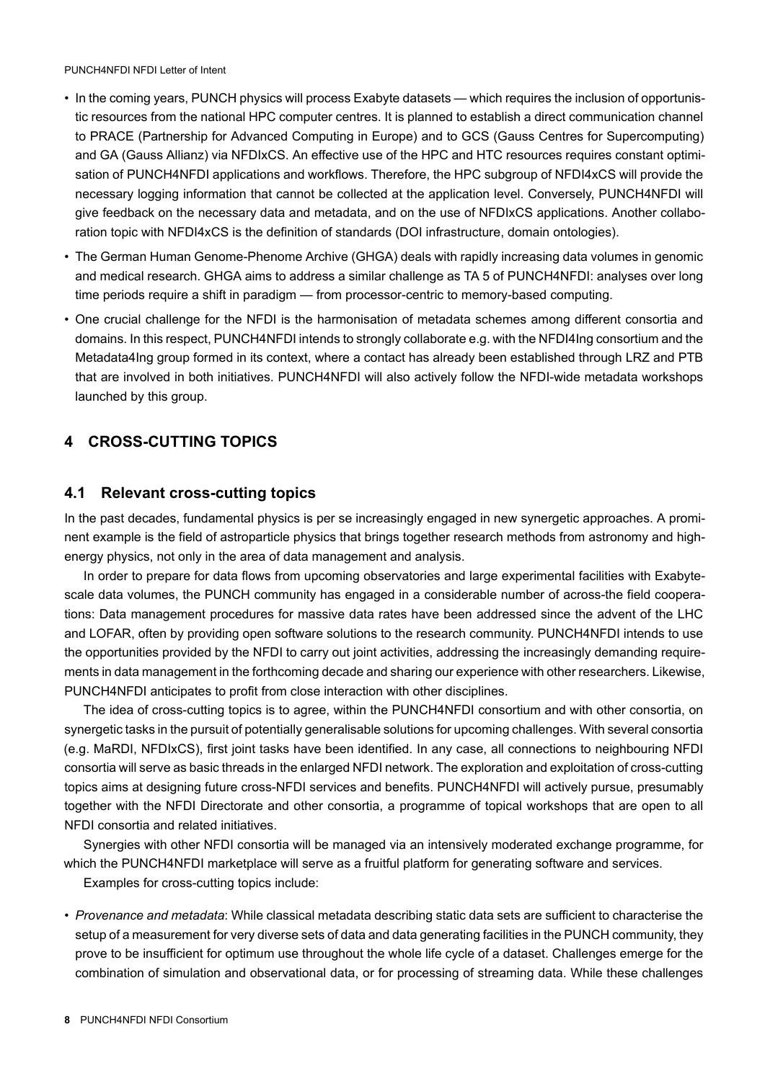PUNCH4NFDI NFDI Letter of Intent

- In the coming years, PUNCH physics will process Exabyte datasets which requires the inclusion of opportunistic resources from the national HPC computer centres. It is planned to establish a direct communication channel to PRACE (Partnership for Advanced Computing in Europe) and to GCS (Gauss Centres for Supercomputing) and GA (Gauss Allianz) via NFDIxCS. An effective use of the HPC and HTC resources requires constant optimisation of PUNCH4NFDI applications and workflows. Therefore, the HPC subgroup of NFDI4xCS will provide the necessary logging information that cannot be collected at the application level. Conversely, PUNCH4NFDI will give feedback on the necessary data and metadata, and on the use of NFDIxCS applications. Another collaboration topic with NFDI4xCS is the definition of standards (DOI infrastructure, domain ontologies).
- The German Human Genome-Phenome Archive (GHGA) deals with rapidly increasing data volumes in genomic and medical research. GHGA aims to address a similar challenge as TA 5 of PUNCH4NFDI: analyses over long time periods require a shift in paradigm — from processor-centric to memory-based computing.
- One crucial challenge for the NFDI is the harmonisation of metadata schemes among different consortia and domains. In this respect, PUNCH4NFDI intends to strongly collaborate e.g. with the NFDI4Ing consortium and the Metadata4Ing group formed in its context, where a contact has already been established through LRZ and PTB that are involved in both initiatives. PUNCH4NFDI will also actively follow the NFDI-wide metadata workshops launched by this group.

# **4 CROSS-CUTTING TOPICS**

## **4.1 Relevant cross-cutting topics**

In the past decades, fundamental physics is per se increasingly engaged in new synergetic approaches. A prominent example is the field of astroparticle physics that brings together research methods from astronomy and highenergy physics, not only in the area of data management and analysis.

In order to prepare for data flows from upcoming observatories and large experimental facilities with Exabytescale data volumes, the PUNCH community has engaged in a considerable number of across-the field cooperations: Data management procedures for massive data rates have been addressed since the advent of the LHC and LOFAR, often by providing open software solutions to the research community. PUNCH4NFDI intends to use the opportunities provided by the NFDI to carry out joint activities, addressing the increasingly demanding requirements in data management in the forthcoming decade and sharing our experience with other researchers. Likewise, PUNCH4NFDI anticipates to profit from close interaction with other disciplines.

The idea of cross-cutting topics is to agree, within the PUNCH4NFDI consortium and with other consortia, on synergetic tasks in the pursuit of potentially generalisable solutions for upcoming challenges. With several consortia (e.g. MaRDI, NFDIxCS), first joint tasks have been identified. In any case, all connections to neighbouring NFDI consortia will serve as basic threads in the enlarged NFDI network. The exploration and exploitation of cross-cutting topics aims at designing future cross-NFDI services and benefits. PUNCH4NFDI will actively pursue, presumably together with the NFDI Directorate and other consortia, a programme of topical workshops that are open to all NFDI consortia and related initiatives.

Synergies with other NFDI consortia will be managed via an intensively moderated exchange programme, for which the PUNCH4NFDI marketplace will serve as a fruitful platform for generating software and services.

Examples for cross-cutting topics include:

• *Provenance and metadata*: While classical metadata describing static data sets are sufficient to characterise the setup of a measurement for very diverse sets of data and data generating facilities in the PUNCH community, they prove to be insufficient for optimum use throughout the whole life cycle of a dataset. Challenges emerge for the combination of simulation and observational data, or for processing of streaming data. While these challenges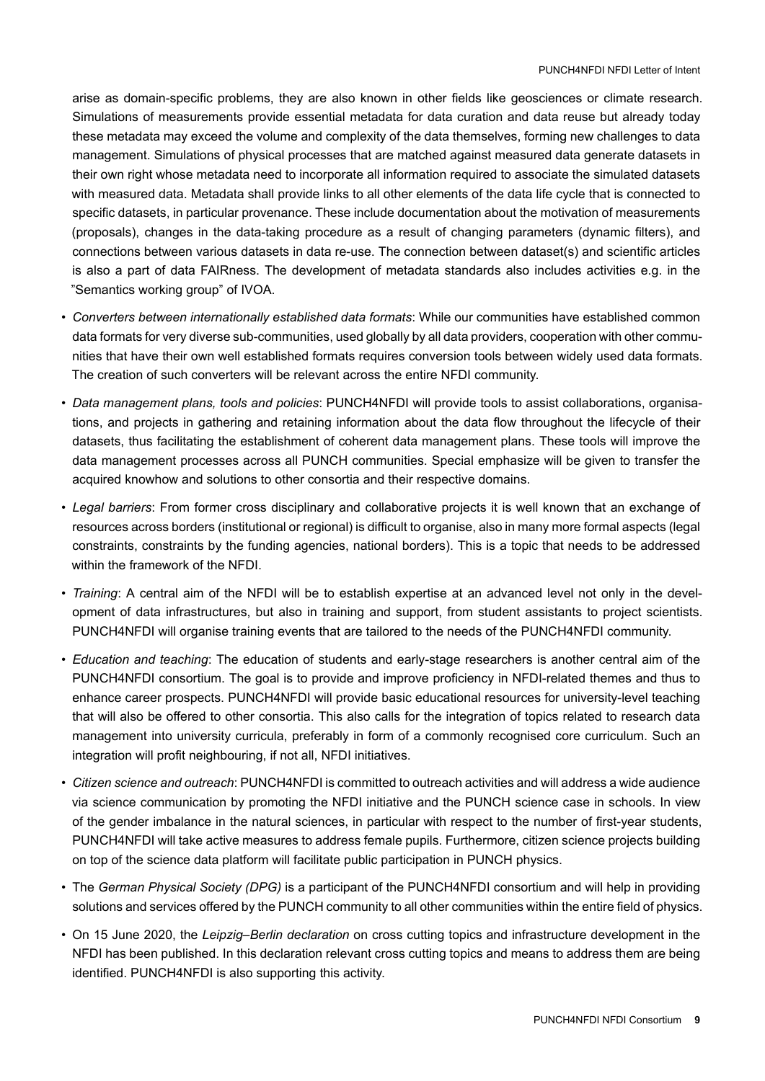arise as domain-specific problems, they are also known in other fields like geosciences or climate research. Simulations of measurements provide essential metadata for data curation and data reuse but already today these metadata may exceed the volume and complexity of the data themselves, forming new challenges to data management. Simulations of physical processes that are matched against measured data generate datasets in their own right whose metadata need to incorporate all information required to associate the simulated datasets with measured data. Metadata shall provide links to all other elements of the data life cycle that is connected to specific datasets, in particular provenance. These include documentation about the motivation of measurements (proposals), changes in the data-taking procedure as a result of changing parameters (dynamic filters), and connections between various datasets in data re-use. The connection between dataset(s) and scientific articles is also a part of data FAIRness. The development of metadata standards also includes activities e.g. in the "Semantics working group" of IVOA.

- *Converters between internationally established data formats*: While our communities have established common data formats for very diverse sub-communities, used globally by all data providers, cooperation with other communities that have their own well established formats requires conversion tools between widely used data formats. The creation of such converters will be relevant across the entire NFDI community.
- *Data management plans, tools and policies*: PUNCH4NFDI will provide tools to assist collaborations, organisations, and projects in gathering and retaining information about the data flow throughout the lifecycle of their datasets, thus facilitating the establishment of coherent data management plans. These tools will improve the data management processes across all PUNCH communities. Special emphasize will be given to transfer the acquired knowhow and solutions to other consortia and their respective domains.
- *Legal barriers*: From former cross disciplinary and collaborative projects it is well known that an exchange of resources across borders (institutional or regional) is difficult to organise, also in many more formal aspects (legal constraints, constraints by the funding agencies, national borders). This is a topic that needs to be addressed within the framework of the NFDI.
- *Training*: A central aim of the NFDI will be to establish expertise at an advanced level not only in the development of data infrastructures, but also in training and support, from student assistants to project scientists. PUNCH4NFDI will organise training events that are tailored to the needs of the PUNCH4NFDI community.
- *Education and teaching*: The education of students and early-stage researchers is another central aim of the PUNCH4NFDI consortium. The goal is to provide and improve proficiency in NFDI-related themes and thus to enhance career prospects. PUNCH4NFDI will provide basic educational resources for university-level teaching that will also be offered to other consortia. This also calls for the integration of topics related to research data management into university curricula, preferably in form of a commonly recognised core curriculum. Such an integration will profit neighbouring, if not all, NFDI initiatives.
- *Citizen science and outreach*: PUNCH4NFDI is committed to outreach activities and will address a wide audience via science communication by promoting the NFDI initiative and the PUNCH science case in schools. In view of the gender imbalance in the natural sciences, in particular with respect to the number of first-year students, PUNCH4NFDI will take active measures to address female pupils. Furthermore, citizen science projects building on top of the science data platform will facilitate public participation in PUNCH physics.
- The *German Physical Society (DPG)* is a participant of the PUNCH4NFDI consortium and will help in providing solutions and services offered by the PUNCH community to all other communities within the entire field of physics.
- On 15 June 2020, the *Leipzig–Berlin declaration* on cross cutting topics and infrastructure development in the NFDI has been published. In this declaration relevant cross cutting topics and means to address them are being identified. PUNCH4NFDI is also supporting this activity.